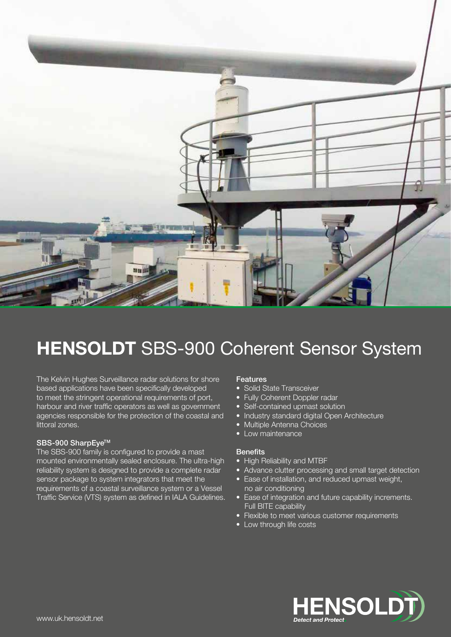

# HENSOLDT SBS-900 Coherent Sensor System

The Kelvin Hughes Surveillance radar solutions for shore based applications have been specifically developed to meet the stringent operational requirements of port, harbour and river traffic operators as well as government agencies responsible for the protection of the coastal and littoral zones.

### SBS-900 SharpEye™

The SBS-900 family is configured to provide a mast mounted environmentally sealed enclosure. The ultra-high reliability system is designed to provide a complete radar sensor package to system integrators that meet the requirements of a coastal surveillance system or a Vessel Traffic Service (VTS) system as defined in IALA Guidelines.

### Features

- Solid State Transceiver
- Fully Coherent Doppler radar
- Self-contained upmast solution
- Industry standard digital Open Architecture
- Multiple Antenna Choices
- Low maintenance

### **Benefits**

- High Reliability and MTBF
- Advance clutter processing and small target detection
- Ease of installation, and reduced upmast weight, no air conditioning
- Ease of integration and future capability increments. Full BITE capability
- Flexible to meet various customer requirements
- Low through life costs